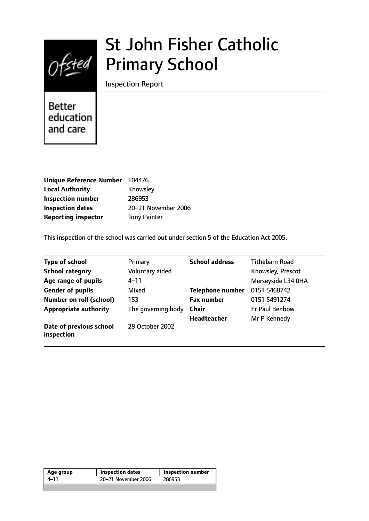

# St John Fisher Catholic Primary School

Inspection Report

Better education and care

| <b>Unique Reference Number</b> | 104476              |
|--------------------------------|---------------------|
| <b>Local Authority</b>         | Knowsley            |
| <b>Inspection number</b>       | 286953              |
| <b>Inspection dates</b>        | 20-21 November 2006 |
| <b>Reporting inspector</b>     | <b>Tony Painter</b> |

This inspection of the school was carried out under section 5 of the Education Act 2005.

| <b>Type of school</b>                 | Primary            | <b>School address</b>   | Tithebarn Road        |
|---------------------------------------|--------------------|-------------------------|-----------------------|
| <b>School category</b>                | Voluntary aided    |                         | Knowsley, Prescot     |
| Age range of pupils                   | $4 - 11$           |                         | Merseyside L34 OHA    |
| <b>Gender of pupils</b>               | Mixed              | <b>Telephone number</b> | 0151 5468742          |
| <b>Number on roll (school)</b>        | 153                | <b>Fax number</b>       | 0151 5491274          |
| <b>Appropriate authority</b>          | The governing body | <b>Chair</b>            | <b>Fr Paul Benbow</b> |
|                                       |                    | <b>Headteacher</b>      | Mr P Kennedy          |
| Date of previous school<br>inspection | 28 October 2002    |                         |                       |

| Age group | <b>Inspection dates</b> | Inspection number |
|-----------|-------------------------|-------------------|
| 4–11      | 20–21 November 2006     | 286953            |
|           |                         |                   |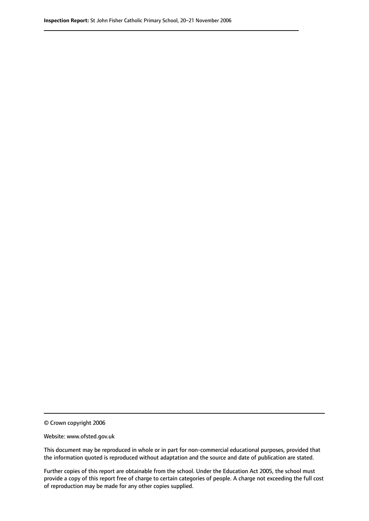© Crown copyright 2006

Website: www.ofsted.gov.uk

This document may be reproduced in whole or in part for non-commercial educational purposes, provided that the information quoted is reproduced without adaptation and the source and date of publication are stated.

Further copies of this report are obtainable from the school. Under the Education Act 2005, the school must provide a copy of this report free of charge to certain categories of people. A charge not exceeding the full cost of reproduction may be made for any other copies supplied.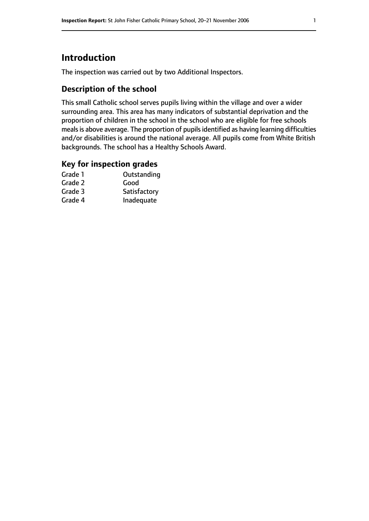# **Introduction**

The inspection was carried out by two Additional Inspectors.

## **Description of the school**

This small Catholic school serves pupils living within the village and over a wider surrounding area. This area has many indicators of substantial deprivation and the proportion of children in the school in the school who are eligible for free schools meals is above average. The proportion of pupils identified as having learning difficulties and/or disabilities is around the national average. All pupils come from White British backgrounds. The school has a Healthy Schools Award.

#### **Key for inspection grades**

| Grade 1 | Outstanding  |
|---------|--------------|
| Grade 2 | Good         |
| Grade 3 | Satisfactory |
| Grade 4 | Inadequate   |
|         |              |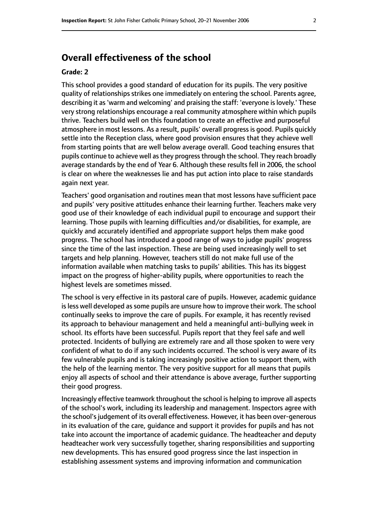# **Overall effectiveness of the school**

#### **Grade: 2**

This school provides a good standard of education for its pupils. The very positive quality of relationships strikes one immediately on entering the school. Parents agree, describing it as'warm and welcoming' and praising the staff: 'everyone islovely.' These very strong relationships encourage a real community atmosphere within which pupils thrive. Teachers build well on this foundation to create an effective and purposeful atmosphere in most lessons. As a result, pupils' overall progress is good. Pupils quickly settle into the Reception class, where good provision ensures that they achieve well from starting points that are well below average overall. Good teaching ensures that pupils continue to achieve well as they progress through the school. They reach broadly average standards by the end of Year 6. Although these results fell in 2006, the school is clear on where the weaknesses lie and has put action into place to raise standards again next year.

Teachers' good organisation and routines mean that most lessons have sufficient pace and pupils' very positive attitudes enhance their learning further. Teachers make very good use of their knowledge of each individual pupil to encourage and support their learning. Those pupils with learning difficulties and/or disabilities, for example, are quickly and accurately identified and appropriate support helps them make good progress. The school has introduced a good range of ways to judge pupils' progress since the time of the last inspection. These are being used increasingly well to set targets and help planning. However, teachers still do not make full use of the information available when matching tasks to pupils' abilities. This has its biggest impact on the progress of higher-ability pupils, where opportunities to reach the highest levels are sometimes missed.

The school is very effective in its pastoral care of pupils. However, academic guidance is less well developed as some pupils are unsure how to improve their work. The school continually seeks to improve the care of pupils. For example, it has recently revised its approach to behaviour management and held a meaningful anti-bullying week in school. Its efforts have been successful. Pupils report that they feel safe and well protected. Incidents of bullying are extremely rare and all those spoken to were very confident of what to do if any such incidents occurred. The school is very aware of its few vulnerable pupils and is taking increasingly positive action to support them, with the help of the learning mentor. The very positive support for all means that pupils enjoy all aspects of school and their attendance is above average, further supporting their good progress.

Increasingly effective teamwork throughout the school is helping to improve all aspects of the school's work, including its leadership and management. Inspectors agree with the school's judgement of its overall effectiveness. However, it has been over-generous in its evaluation of the care, guidance and support it provides for pupils and has not take into account the importance of academic guidance. The headteacher and deputy headteacher work very successfully together, sharing responsibilities and supporting new developments. This has ensured good progress since the last inspection in establishing assessment systems and improving information and communication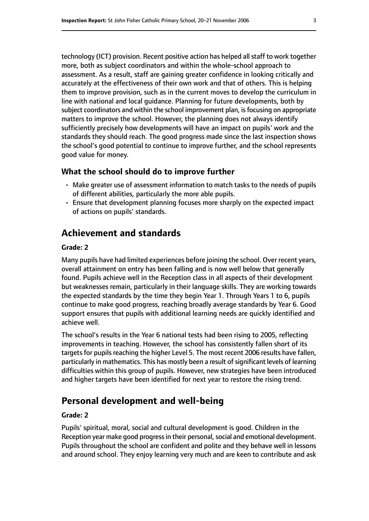technology (ICT) provision. Recent positive action has helped allstaff to work together more, both as subject coordinators and within the whole-school approach to assessment. As a result, staff are gaining greater confidence in looking critically and accurately at the effectiveness of their own work and that of others. This is helping them to improve provision, such as in the current moves to develop the curriculum in line with national and local guidance. Planning for future developments, both by subject coordinators and within the school improvement plan, is focusing on appropriate matters to improve the school. However, the planning does not always identify sufficiently precisely how developments will have an impact on pupils' work and the standards they should reach. The good progress made since the last inspection shows the school's good potential to continue to improve further, and the school represents good value for money.

#### **What the school should do to improve further**

- Make greater use of assessment information to match tasks to the needs of pupils of different abilities, particularly the more able pupils.
- Ensure that development planning focuses more sharply on the expected impact of actions on pupils' standards.

# **Achievement and standards**

#### **Grade: 2**

Many pupils have had limited experiences before joining the school. Over recent years, overall attainment on entry has been falling and is now well below that generally found. Pupils achieve well in the Reception class in all aspects of their development but weaknesses remain, particularly in their language skills. They are working towards the expected standards by the time they begin Year 1. Through Years 1 to 6, pupils continue to make good progress, reaching broadly average standards by Year 6. Good support ensures that pupils with additional learning needs are quickly identified and achieve well.

The school's results in the Year 6 national tests had been rising to 2005, reflecting improvements in teaching. However, the school has consistently fallen short of its targets for pupils reaching the higher Level 5. The most recent 2006 results have fallen, particularly in mathematics. This has mostly been a result of significant levels of learning difficulties within this group of pupils. However, new strategies have been introduced and higher targets have been identified for next year to restore the rising trend.

# **Personal development and well-being**

#### **Grade: 2**

Pupils' spiritual, moral, social and cultural development is good. Children in the Reception year make good progress in their personal, social and emotional development. Pupils throughout the school are confident and polite and they behave well in lessons and around school. They enjoy learning very much and are keen to contribute and ask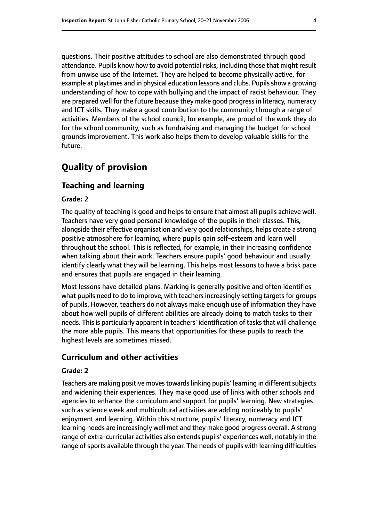questions. Their positive attitudes to school are also demonstrated through good attendance. Pupils know how to avoid potential risks, including those that might result from unwise use of the Internet. They are helped to become physically active, for example at playtimes and in physical education lessons and clubs. Pupils show a growing understanding of how to cope with bullying and the impact of racist behaviour. They are prepared well for the future because they make good progressin literacy, numeracy and ICT skills. They make a good contribution to the community through a range of activities. Members of the school council, for example, are proud of the work they do for the school community, such as fundraising and managing the budget for school grounds improvement. This work also helps them to develop valuable skills for the future.

# **Quality of provision**

#### **Teaching and learning**

#### **Grade: 2**

The quality of teaching is good and helps to ensure that almost all pupils achieve well. Teachers have very good personal knowledge of the pupils in their classes. This, alongside their effective organisation and very good relationships, helps create a strong positive atmosphere for learning, where pupils gain self-esteem and learn well throughout the school. This is reflected, for example, in their increasing confidence when talking about their work. Teachers ensure pupils' good behaviour and usually identify clearly what they will be learning. This helps most lessons to have a brisk pace and ensures that pupils are engaged in their learning.

Most lessons have detailed plans. Marking is generally positive and often identifies what pupils need to do to improve, with teachers increasingly setting targets for groups of pupils. However, teachers do not always make enough use of information they have about how well pupils of different abilities are already doing to match tasks to their needs. This is particularly apparent in teachers' identification of tasks that will challenge the more able pupils. This means that opportunities for these pupils to reach the highest levels are sometimes missed.

#### **Curriculum and other activities**

#### **Grade: 2**

Teachers are making positive moves towards linking pupils' learning in different subjects and widening their experiences. They make good use of links with other schools and agencies to enhance the curriculum and support for pupils' learning. New strategies such as science week and multicultural activities are adding noticeably to pupils' enjoyment and learning. Within this structure, pupils' literacy, numeracy and ICT learning needs are increasingly well met and they make good progress overall. A strong range of extra-curricular activities also extends pupils' experiences well, notably in the range of sports available through the year. The needs of pupils with learning difficulties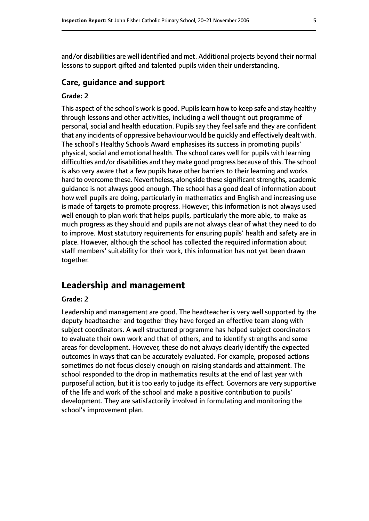and/or disabilities are well identified and met. Additional projects beyond their normal lessons to support gifted and talented pupils widen their understanding.

#### **Care, guidance and support**

#### **Grade: 2**

This aspect of the school's work is good. Pupilslearn how to keep safe and stay healthy through lessons and other activities, including a well thought out programme of personal, social and health education. Pupils say they feel safe and they are confident that any incidents of oppressive behaviour would be quickly and effectively dealt with. The school's Healthy Schools Award emphasises its success in promoting pupils' physical, social and emotional health. The school cares well for pupils with learning difficulties and/or disabilities and they make good progress because of this. The school is also very aware that a few pupils have other barriers to their learning and works hard to overcome these. Nevertheless, alongside these significant strengths, academic guidance is not always good enough. The school has a good deal of information about how well pupils are doing, particularly in mathematics and English and increasing use is made of targets to promote progress. However, this information is not always used well enough to plan work that helps pupils, particularly the more able, to make as much progress as they should and pupils are not always clear of what they need to do to improve. Most statutory requirements for ensuring pupils' health and safety are in place. However, although the school has collected the required information about staff members' suitability for their work, this information has not yet been drawn together.

## **Leadership and management**

#### **Grade: 2**

Leadership and management are good. The headteacher is very well supported by the deputy headteacher and together they have forged an effective team along with subject coordinators. A well structured programme has helped subject coordinators to evaluate their own work and that of others, and to identify strengths and some areas for development. However, these do not always clearly identify the expected outcomes in ways that can be accurately evaluated. For example, proposed actions sometimes do not focus closely enough on raising standards and attainment. The school responded to the drop in mathematics results at the end of last year with purposeful action, but it is too early to judge its effect. Governors are very supportive of the life and work of the school and make a positive contribution to pupils' development. They are satisfactorily involved in formulating and monitoring the school's improvement plan.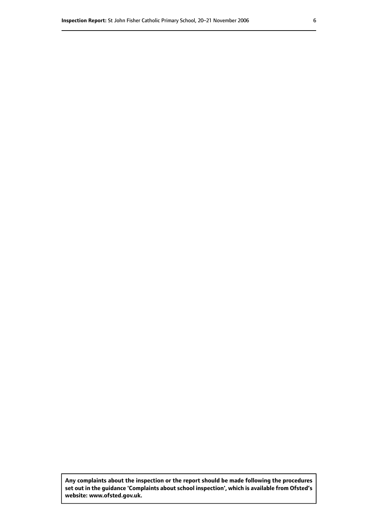**Any complaints about the inspection or the report should be made following the procedures set out inthe guidance 'Complaints about school inspection', whichis available from Ofsted's website: www.ofsted.gov.uk.**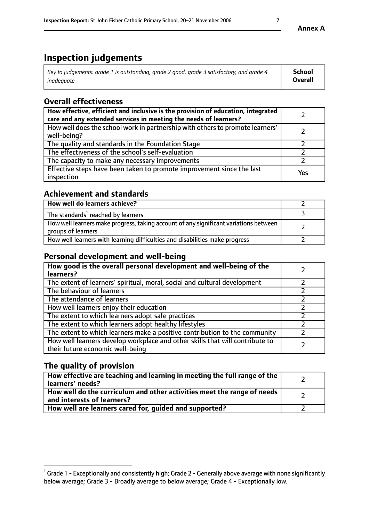# **Inspection judgements**

| Key to judgements: grade 1 is outstanding, grade 2 good, grade 3 satisfactory, and grade 4 | <b>School</b>  |
|--------------------------------------------------------------------------------------------|----------------|
| inadeauate                                                                                 | <b>Overall</b> |

# **Overall effectiveness**

| How effective, efficient and inclusive is the provision of education, integrated<br>care and any extended services in meeting the needs of learners? |     |
|------------------------------------------------------------------------------------------------------------------------------------------------------|-----|
| How well does the school work in partnership with others to promote learners'<br>well-being?                                                         |     |
| The quality and standards in the Foundation Stage                                                                                                    |     |
| The effectiveness of the school's self-evaluation                                                                                                    |     |
| The capacity to make any necessary improvements                                                                                                      |     |
| Effective steps have been taken to promote improvement since the last<br>inspection                                                                  | Yes |

## **Achievement and standards**

| How well do learners achieve?                                                                               |  |
|-------------------------------------------------------------------------------------------------------------|--|
| The standards <sup>1</sup> reached by learners                                                              |  |
| How well learners make progress, taking account of any significant variations between<br>groups of learners |  |
| How well learners with learning difficulties and disabilities make progress                                 |  |

## **Personal development and well-being**

| How good is the overall personal development and well-being of the<br>learners?                                  |  |
|------------------------------------------------------------------------------------------------------------------|--|
| The extent of learners' spiritual, moral, social and cultural development                                        |  |
| The behaviour of learners                                                                                        |  |
| The attendance of learners                                                                                       |  |
| How well learners enjoy their education                                                                          |  |
| The extent to which learners adopt safe practices                                                                |  |
| The extent to which learners adopt healthy lifestyles                                                            |  |
| The extent to which learners make a positive contribution to the community                                       |  |
| How well learners develop workplace and other skills that will contribute to<br>their future economic well-being |  |

## **The quality of provision**

| How effective are teaching and learning in meeting the full range of the<br>  learners' needs?                      |  |
|---------------------------------------------------------------------------------------------------------------------|--|
| $\mid$ How well do the curriculum and other activities meet the range of needs<br>$\mid$ and interests of learners? |  |
| How well are learners cared for, guided and supported?                                                              |  |

 $^1$  Grade 1 - Exceptionally and consistently high; Grade 2 - Generally above average with none significantly below average; Grade 3 - Broadly average to below average; Grade 4 - Exceptionally low.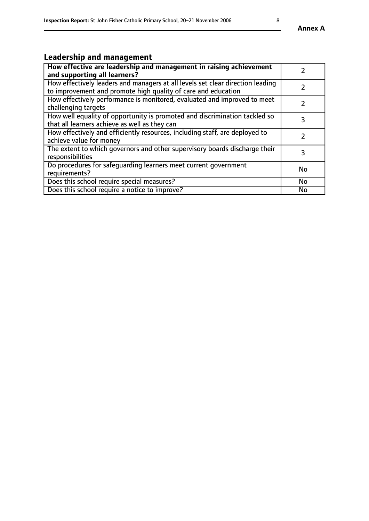# **Leadership and management**

| How effective are leadership and management in raising achievement<br>and supporting all learners?                                              |               |
|-------------------------------------------------------------------------------------------------------------------------------------------------|---------------|
| How effectively leaders and managers at all levels set clear direction leading<br>to improvement and promote high quality of care and education |               |
| How effectively performance is monitored, evaluated and improved to meet<br>challenging targets                                                 | $\mathcal{L}$ |
| How well equality of opportunity is promoted and discrimination tackled so<br>that all learners achieve as well as they can                     | 3             |
| How effectively and efficiently resources, including staff, are deployed to<br>achieve value for money                                          | $\mathcal{P}$ |
| The extent to which governors and other supervisory boards discharge their<br>responsibilities                                                  | 3             |
| Do procedures for safequarding learners meet current government<br>requirements?                                                                | <b>No</b>     |
| Does this school require special measures?                                                                                                      | No            |
| Does this school require a notice to improve?                                                                                                   | <b>No</b>     |